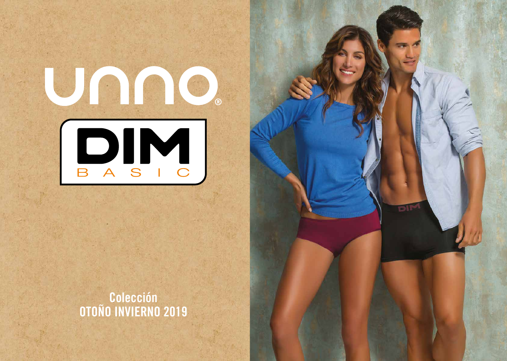

# **Colección OTOÑO INVIERNO 2019**

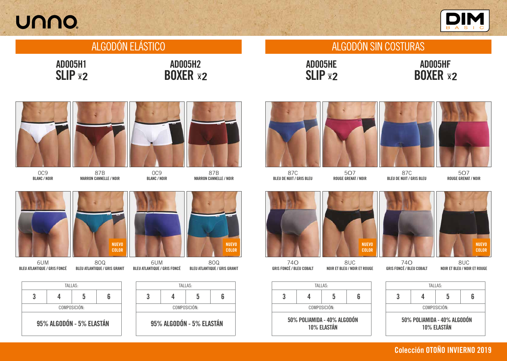# UNNO.

# ALGODÓN ELÁSTICO ALGODÓN SIN COSTURAS

AD005H1



**SLIP \*2** AD005HE

95% ALGODÓN - 5% ELASTÁN







## **BOXER \*2** AD005HF

AD005H2





**SLIP X2** 

6UM BLEU ATLANTIQUE / GRIS FONCÉ





| TALLAS:                                    |  |   |   |  |  |
|--------------------------------------------|--|---|---|--|--|
| 3                                          |  | 5 | հ |  |  |
| COMPOSICIÓN:                               |  |   |   |  |  |
| 50% POLIAMIDA - 40% ALGODÓN<br>10% ELASTÁN |  |   |   |  |  |





87B MARRON CANNELLE / NOIR

8OQ BLEU ATLANTIQUE / GRIS GRANIT

NUEVO COLOR



0C9 BLANC / NOIR



87B MARRON CANNELLE / NOIR



6UM BLEU ATLANTIQUE / GRIS FONCÉ



**BOXER \*2** 



87C BLEU DE NUIT / GRIS BLEU

5O7 ROUGE GRENAT / NOIR



8UC NOIR ET BLEU / NOIR ET ROUGE





87C BLEU DE NUIT / GRIS BLEU



5O7 ROUGE GRENAT / NOIR



74O GRIS FONCÉ / BLEU COBALT



8UC NOIR ET BLEU / NOIR ET ROUGE

### **Colección OTOÑO INVIERNO 2019**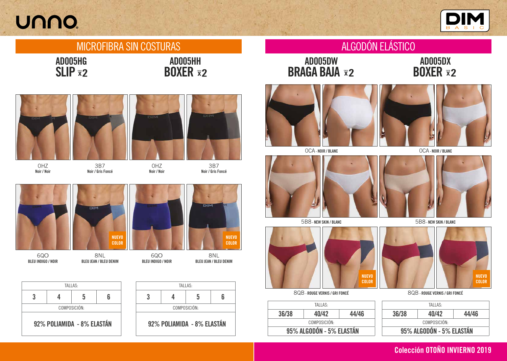# UNNO.

## MICROFIBRA SIN COSTURAS ALGODÓN ELÁSTICO





# **BRAGA BAJA <b>x**2 AD005DW



0CA - NOIR / BLANC



8QB - ROUGE VERNIS / GRI FONCÉ



5B8 - NEW SKIN / BLANC

| 95% ALGODÓN - 5% ELASTÁN |         |       |  |  |
|--------------------------|---------|-------|--|--|
| COMPOSICIÓN:             |         |       |  |  |
| 36/38                    | 40/42   | 44/46 |  |  |
|                          | TALLAS: |       |  |  |

### **SLIP \*2** AD005HG

**BOXER x2** AD005HH



## BOXER AD005DX

### 8QB - ROUGE VERNIS / GRI FONCÉ

0CA - NOIR / BLANC



5B8 - NEW SKIN / BLANC

| TALLAS:      |                            |   |   |  |  |
|--------------|----------------------------|---|---|--|--|
|              |                            | 5 | Բ |  |  |
| COMPOSICIÓN: |                            |   |   |  |  |
|              | 92% POLIAMIDA - 8% ELASTÁN |   |   |  |  |





3B7 Noir / Gris Foncé

0HZ Noir / Noir



6QO BLEU INDIGO / NOIR

8NL BLEU JEAN / BLEU DENIM

NUEVO COLOR







3B7 Noir / Gris Foncé











### **Colección OTOÑO INVIERNO 2019**